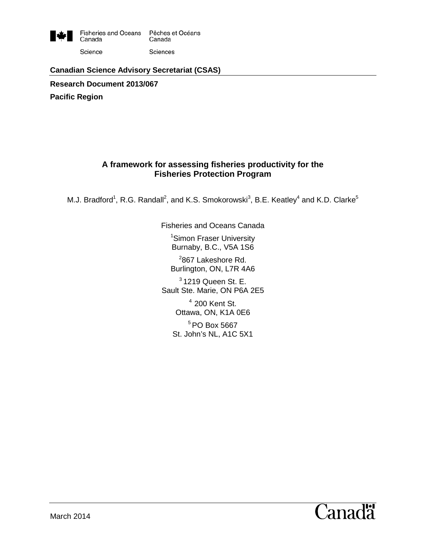

#### **Canadian Science Advisory Secretariat (CSAS)**

**Research Document 2013/067**

**Pacific Region**

## **A framework for assessing fisheries productivity for the Fisheries Protection Program**

M.J. Bradford<sup>1</sup>, R.G. Randall<sup>2</sup>, and K.S. Smokorowski<sup>3</sup>, B.E. Keatley<sup>4</sup> and K.D. Clarke<sup>5</sup>

Fisheries and Oceans Canada

1 Simon Fraser University Burnaby, B.C., V5A 1S6

<sup>2</sup>867 Lakeshore Rd. Burlington, ON, L7R 4A6

 $3$  1219 Queen St. E. Sault Ste. Marie, ON P6A 2E5

> $4$  200 Kent St. Ottawa, ON, K1A 0E6

<sup>5</sup> PO Box 5667 St. John's NL, A1C 5X1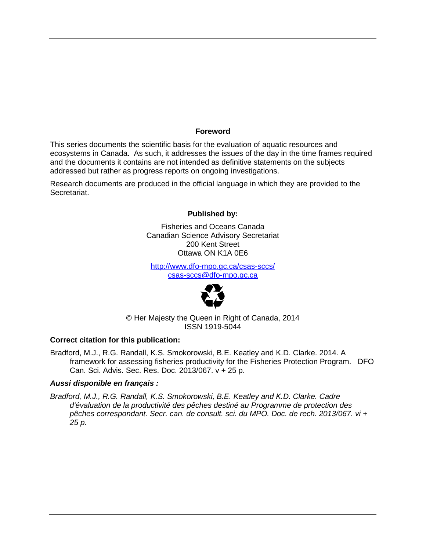#### **Foreword**

This series documents the scientific basis for the evaluation of aquatic resources and ecosystems in Canada. As such, it addresses the issues of the day in the time frames required and the documents it contains are not intended as definitive statements on the subjects addressed but rather as progress reports on ongoing investigations.

Research documents are produced in the official language in which they are provided to the Secretariat.

#### **Published by:**

Fisheries and Oceans Canada Canadian Science Advisory Secretariat 200 Kent Street Ottawa ON K1A 0E6

<http://www.dfo-mpo.gc.ca/csas-sccs/> [csas-sccs@dfo-mpo.gc.ca](mailto:csas-sccs@dfo-mpo.gc.ca)



© Her Majesty the Queen in Right of Canada, 2014 ISSN 1919-5044

#### **Correct citation for this publication:**

Bradford, M.J., R.G. Randall, K.S. Smokorowski, B.E. Keatley and K.D. Clarke. 2014. A framework for assessing fisheries productivity for the Fisheries Protection Program. DFO Can. Sci. Advis. Sec. Res. Doc. 2013/067. v + 25 p.

#### *Aussi disponible en français :*

*Bradford, M.J., R.G. Randall, K.S. Smokorowski, B.E. Keatley and K.D. Clarke. Cadre d'évaluation de la productivité des pêches destiné au Programme de protection des pêches correspondant. Secr. can. de consult. sci. du MPO. Doc. de rech. 2013/067. vi + 25 p.*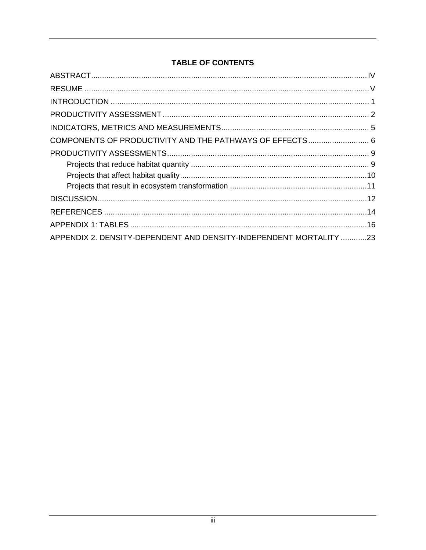# **TABLE OF CONTENTS**

| APPENDIX 2. DENSITY-DEPENDENT AND DENSITY-INDEPENDENT MORTALITY 23 |
|--------------------------------------------------------------------|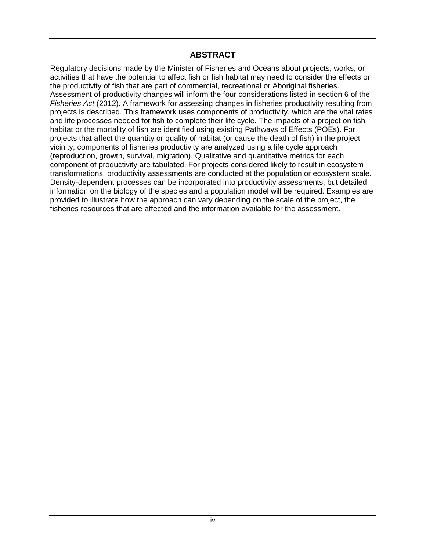## **ABSTRACT**

<span id="page-3-1"></span><span id="page-3-0"></span>Regulatory decisions made by the Minister of Fisheries and Oceans about projects, works, or activities that have the potential to affect fish or fish habitat may need to consider the effects on the productivity of fish that are part of commercial, recreational or Aboriginal fisheries. Assessment of productivity changes will inform the four considerations listed in section 6 of the *Fisheries Act* (2012). A framework for assessing changes in fisheries productivity resulting from projects is described. This framework uses components of productivity, which are the vital rates and life processes needed for fish to complete their life cycle. The impacts of a project on fish habitat or the mortality of fish are identified using existing Pathways of Effects (POEs). For projects that affect the quantity or quality of habitat (or cause the death of fish) in the project vicinity, components of fisheries productivity are analyzed using a life cycle approach (reproduction, growth, survival, migration). Qualitative and quantitative metrics for each component of productivity are tabulated. For projects considered likely to result in ecosystem transformations, productivity assessments are conducted at the population or ecosystem scale. Density-dependent processes can be incorporated into productivity assessments, but detailed information on the biology of the species and a population model will be required. Examples are provided to illustrate how the approach can vary depending on the scale of the project, the fisheries resources that are affected and the information available for the assessment.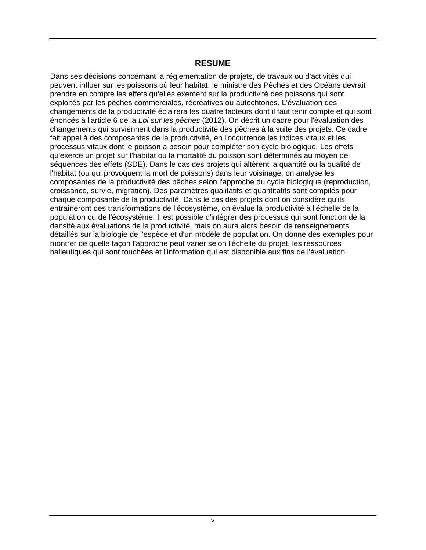### **RESUME**

Dans ses décisions concernant la réglementation de projets, de travaux ou d'activités qui peuvent influer sur les poissons où leur habitat, le ministre des Pêches et des Océans devrait prendre en compte les effets qu'elles exercent sur la productivité des poissons qui sont exploités par les pêches commerciales, récréatives ou autochtones. L'évaluation des changements de la productivité éclairera les quatre facteurs dont il faut tenir compte et qui sont énoncés à l'article 6 de la *Loi sur les pêches* (2012). On décrit un cadre pour l'évaluation des changements qui surviennent dans la productivité des pêches à la suite des projets. Ce cadre fait appel à des composantes de la productivité, en l'occurrence les indices vitaux et les processus vitaux dont le poisson a besoin pour compléter son cycle biologique. Les effets qu'exerce un projet sur l'habitat ou la mortalité du poisson sont déterminés au moyen de séquences des effets (SDE). Dans le cas des projets qui altèrent la quantité ou la qualité de l'habitat (ou qui provoquent la mort de poissons) dans leur voisinage, on analyse les composantes de la productivité des pêches selon l'approche du cycle biologique (reproduction, croissance, survie, migration). Des paramètres qualitatifs et quantitatifs sont compilés pour chaque composante de la productivité. Dans le cas des projets dont on considère qu'ils entraîneront des transformations de l'écosystème, on évalue la productivité à l'échelle de la population ou de l'écosystème. Il est possible d'intégrer des processus qui sont fonction de la densité aux évaluations de la productivité, mais on aura alors besoin de renseignements détaillés sur la biologie de l'espèce et d'un modèle de population. On donne des exemples pour montrer de quelle façon l'approche peut varier selon l'échelle du projet, les ressources halieutiques qui sont touchées et l'information qui est disponible aux fins de l'évaluation.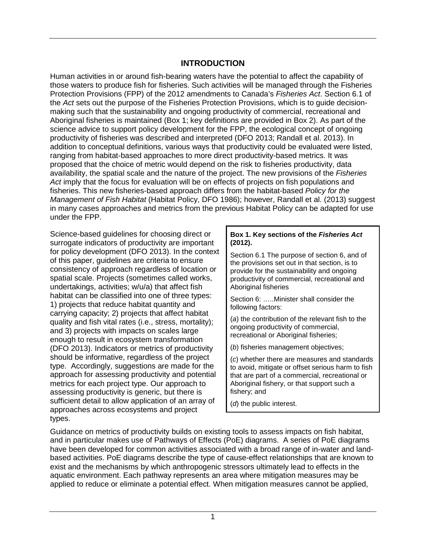## **INTRODUCTION**

<span id="page-5-0"></span>Human activities in or around fish-bearing waters have the potential to affect the capability of those waters to produce fish for fisheries. Such activities will be managed through the Fisheries Protection Provisions (FPP) of the 2012 amendments to Canada's *Fisheries Act*. Section 6.1 of the *Act* sets out the purpose of the Fisheries Protection Provisions, which is to guide decisionmaking such that the sustainability and ongoing productivity of commercial, recreational and Aboriginal fisheries is maintained (Box 1; key definitions are provided in Box 2). As part of the science advice to support policy development for the FPP, the ecological concept of ongoing productivity of fisheries was described and interpreted (DFO 2013; Randall et al. 2013). In addition to conceptual definitions, various ways that productivity could be evaluated were listed, ranging from habitat-based approaches to more direct productivity-based metrics. It was proposed that the choice of metric would depend on the risk to fisheries productivity, data availability, the spatial scale and the nature of the project. The new provisions of the *Fisheries Act* imply that the focus for evaluation will be on effects of projects on fish populations and fisheries. This new fisheries-based approach differs from the habitat-based *Policy for the Management of Fish Habitat* (Habitat Policy, DFO 1986); however, Randall et al. (2013) suggest in many cases approaches and metrics from the previous Habitat Policy can be adapted for use under the FPP.

Science-based guidelines for choosing direct or surrogate indicators of productivity are important for policy development (DFO 2013). In the context of this paper, guidelines are criteria to ensure consistency of approach regardless of location or spatial scale. Projects (sometimes called works, undertakings, activities; w/u/a) that affect fish habitat can be classified into one of three types: 1) projects that reduce habitat quantity and carrying capacity; 2) projects that affect habitat quality and fish vital rates (i.e., stress, mortality); and 3) projects with impacts on scales large enough to result in ecosystem transformation (DFO 2013). Indicators or metrics of productivity should be informative, regardless of the project type. Accordingly, suggestions are made for the approach for assessing productivity and potential metrics for each project type. Our approach to assessing productivity is generic, but there is sufficient detail to allow application of an array of approaches across ecosystems and project types.

#### **Box 1. Key sections of the** *Fisheries Act* **(2012).**

Section 6.1 The purpose of section 6, and of the provisions set out in that section, is to provide for the sustainability and ongoing productivity of commercial, recreational and Aboriginal fisheries

Section 6: …..Minister shall consider the following factors:

(*a*) the contribution of the relevant fish to the ongoing productivity of commercial, recreational or Aboriginal fisheries;

(*b*) fisheries management objectives;

(*c*) whether there are measures and standards to avoid, mitigate or offset serious harm to fish that are part of a commercial, recreational or Aboriginal fishery, or that support such a fishery; and

(*d*) the public interest.

Guidance on metrics of productivity builds on existing tools to assess impacts on fish habitat, and in particular makes use of Pathways of Effects (PoE) diagrams. A series of PoE diagrams have been developed for common activities associated with a broad range of in-water and landbased activities. PoE diagrams describe the type of cause-effect relationships that are known to exist and the mechanisms by which anthropogenic stressors ultimately lead to effects in the aquatic environment. Each pathway represents an area where mitigation measures may be applied to reduce or eliminate a potential effect. When mitigation measures cannot be applied,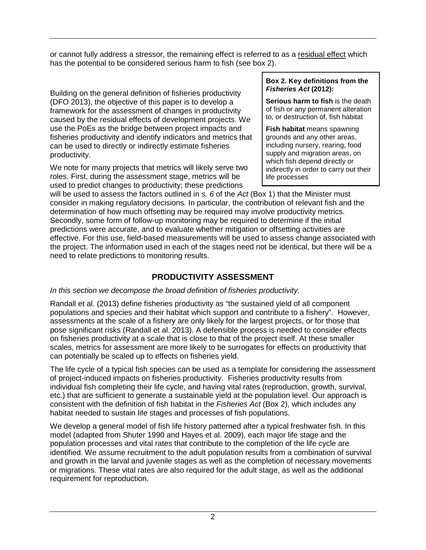or cannot fully address a stressor, the remaining effect is referred to as a residual effect which has the potential to be considered serious harm to fish (see box 2).

Building on the general definition of fisheries productivity (DFO 2013), the objective of this paper is to develop a framework for the assessment of changes in productivity caused by the residual effects of development projects. We use the PoEs as the bridge between project impacts and fisheries productivity and identify indicators and metrics that can be used to directly or indirectly estimate fisheries productivity.

We note for many projects that metrics will likely serve two roles. First, during the assessment stage, metrics will be used to predict changes to productivity; these predictions

#### **Box 2. Key definitions from the**  *Fisheries Act* **(2012):**

**Serious harm to fish** is the death of fish or any permanent alteration to, or destruction of, fish habitat

**Fish habitat** means spawning grounds and any other areas, including nursery, rearing, food supply and migration areas, on which fish depend directly or indirectly in order to carry out their life processes

will be used to assess the factors outlined in *s. 6* of the *Act* (Box 1) that the Minister must consider in making regulatory decisions. In particular, the contribution of relevant fish and the determination of how much offsetting may be required may involve productivity metrics. Secondly, some form of follow-up monitoring may be required to determine if the initial predictions were accurate, and to evaluate whether mitigation or offsetting activities are effective. For this use, field-based measurements will be used to assess change associated with the project. The information used in each of the stages need not be identical, but there will be a need to relate predictions to monitoring results.

# **PRODUCTIVITY ASSESSMENT**

### <span id="page-6-0"></span>*In this section we decompose the broad definition of fisheries productivity.*

Randall et al. (2013) define fisheries productivity as "the sustained yield of all component populations and species and their habitat which support and contribute to a fishery". However, assessments at the scale of a fishery are only likely for the largest projects, or for those that pose significant risks (Randall et al. 2013). A defensible process is needed to consider effects on fisheries productivity at a scale that is close to that of the project itself. At these smaller scales, metrics for assessment are more likely to be surrogates for effects on productivity that can potentially be scaled up to effects on fisheries yield.

The life cycle of a typical fish species can be used as a template for considering the assessment of project-induced impacts on fisheries productivity. Fisheries productivity results from individual fish completing their life cycle, and having vital rates (reproduction, growth, survival, etc.) that are sufficient to generate a sustainable yield at the population level. Our approach is consistent with the definition of fish habitat in the *Fisheries Act* (Box 2), which includes any habitat needed to sustain life stages and processes of fish populations.

We develop a general model of fish life history patterned after a typical freshwater fish. In this model (adapted from Shuter 1990 and Hayes et al. 2009), each major life stage and the population processes and vital rates that contribute to the completion of the life cycle are identified. We assume recruitment to the adult population results from a combination of survival and growth in the larval and juvenile stages as well as the completion of necessary movements or migrations. These vital rates are also required for the adult stage, as well as the additional requirement for reproduction.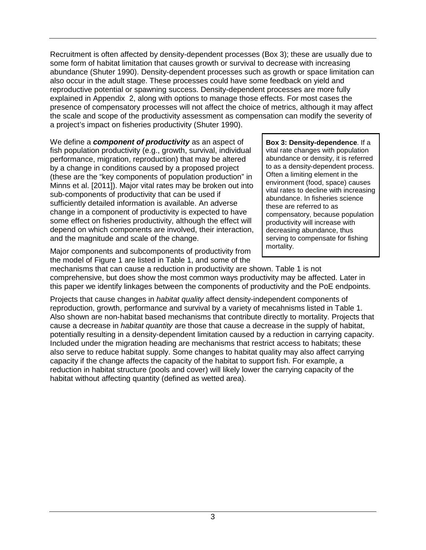Recruitment is often affected by density-dependent processes (Box 3); these are usually due to some form of habitat limitation that causes growth or survival to decrease with increasing abundance (Shuter 1990). Density-dependent processes such as growth or space limitation can also occur in the adult stage. These processes could have some feedback on yield and reproductive potential or spawning success. Density-dependent processes are more fully explained in Appendix 2, along with options to manage those effects. For most cases the presence of compensatory processes will not affect the choice of metrics, although it may affect the scale and scope of the productivity assessment as compensation can modify the severity of a project's impact on fisheries productivity (Shuter 1990).

We define a *component of productivity* as an aspect of fish population productivity (e.g., growth, survival, individual performance, migration, reproduction) that may be altered by a change in conditions caused by a proposed project (these are the "key components of population production" in Minns et al. [2011]). Major vital rates may be broken out into sub-components of productivity that can be used if sufficiently detailed information is available. An adverse change in a component of productivity is expected to have some effect on fisheries productivity, although the effect will depend on which components are involved, their interaction, and the magnitude and scale of the change.

**Box 3: Density-dependence**. If a vital rate changes with population abundance or density, it is referred to as a density-dependent process. Often a limiting element in the environment (food, space) causes vital rates to decline with increasing abundance. In fisheries science these are referred to as compensatory, because population productivity will increase with decreasing abundance, thus serving to compensate for fishing mortality.

Major components and subcomponents of productivity from the model of Figure 1 are listed in Table 1, and some of the

mechanisms that can cause a reduction in productivity are shown. Table 1 is not comprehensive, but does show the most common ways productivity may be affected. Later in this paper we identify linkages between the components of productivity and the PoE endpoints.

Projects that cause changes in *habitat quality* affect density-independent components of reproduction, growth, performance and survival by a variety of mecahnisms listed in Table 1. Also shown are non-habitat based mechanisms that contribute directly to mortality. Projects that cause a decrease in *habitat quantity* are those that cause a decrease in the supply of habitat, potentially resulting in a density-dependent limitation caused by a reduction in carrying capacity. Included under the migration heading are mechanisms that restrict access to habitats; these also serve to reduce habitat supply. Some changes to habitat quality may also affect carrying capacity if the change affects the capacity of the habitat to support fish. For example, a reduction in habitat structure (pools and cover) will likely lower the carrying capacity of the habitat without affecting quantity (defined as wetted area).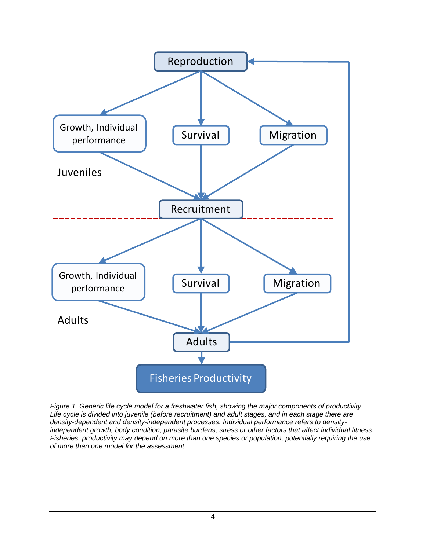

*Figure 1. Generic life cycle model for a freshwater fish, showing the major components of productivity. Life cycle is divided into juvenile (before recruitment) and adult stages, and in each stage there are density-dependent and density-independent processes. Individual performance refers to densityindependent growth, body condition, parasite burdens, stress or other factors that affect individual fitness. Fisheries productivity may depend on more than one species or population, potentially requiring the use of more than one model for the assessment.*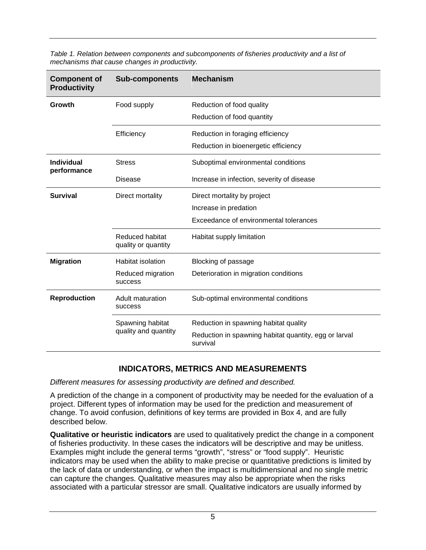| <b>Component of</b><br><b>Productivity</b> | <b>Sub-components</b>                  | <b>Mechanism</b>                                                  |  |
|--------------------------------------------|----------------------------------------|-------------------------------------------------------------------|--|
| Growth                                     | Food supply                            | Reduction of food quality                                         |  |
|                                            |                                        | Reduction of food quantity                                        |  |
|                                            | Efficiency                             | Reduction in foraging efficiency                                  |  |
|                                            |                                        | Reduction in bioenergetic efficiency                              |  |
| Individual<br>performance                  | <b>Stress</b>                          | Suboptimal environmental conditions                               |  |
|                                            | <b>Disease</b>                         | Increase in infection, severity of disease                        |  |
| <b>Survival</b>                            | Direct mortality                       | Direct mortality by project                                       |  |
|                                            |                                        | Increase in predation                                             |  |
|                                            |                                        | Exceedance of environmental tolerances                            |  |
|                                            | Reduced habitat<br>quality or quantity | Habitat supply limitation                                         |  |
| <b>Migration</b>                           | <b>Habitat isolation</b>               | Blocking of passage                                               |  |
|                                            | Reduced migration<br>success           | Deterioration in migration conditions                             |  |
| <b>Reproduction</b>                        | Adult maturation<br><b>SUCCESS</b>     | Sub-optimal environmental conditions                              |  |
|                                            | Spawning habitat                       | Reduction in spawning habitat quality                             |  |
|                                            | quality and quantity                   | Reduction in spawning habitat quantity, egg or larval<br>survival |  |

*Table 1. Relation between components and subcomponents of fisheries productivity and a list of mechanisms that cause changes in productivity.* 

### **INDICATORS, METRICS AND MEASUREMENTS**

<span id="page-9-0"></span>*Different measures for assessing productivity are defined and described.*

A prediction of the change in a component of productivity may be needed for the evaluation of a project. Different types of information may be used for the prediction and measurement of change. To avoid confusion, definitions of key terms are provided in Box 4, and are fully described below.

**Qualitative or heuristic indicators** are used to qualitatively predict the change in a component of fisheries productivity. In these cases the indicators will be descriptive and may be unitless. Examples might include the general terms "growth", "stress" or "food supply". Heuristic indicators may be used when the ability to make precise or quantitative predictions is limited by the lack of data or understanding, or when the impact is multidimensional and no single metric can capture the changes. Qualitative measures may also be appropriate when the risks associated with a particular stressor are small. Qualitative indicators are usually informed by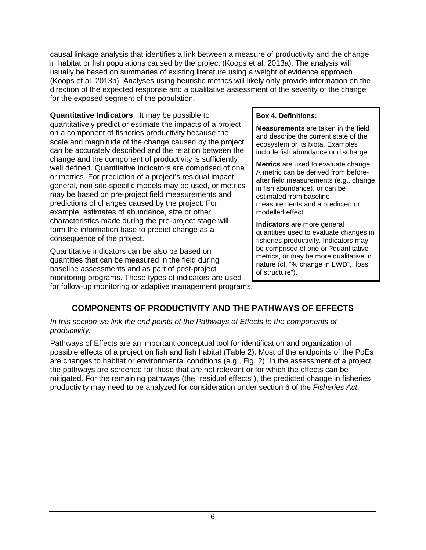causal linkage analysis that identifies a link between a measure of productivity and the change in habitat or fish populations caused by the project (Koops et al. 2013a). The analysis will usually be based on summaries of existing literature using a weight of evidence approach (Koops et al. 2013b). Analyses using heuristic metrics will likely only provide information on the direction of the expected response and a qualitative assessment of the severity of the change for the exposed segment of the population.

**Quantitative Indicators**: It may be possible to quantitatively predict or estimate the impacts of a project on a component of fisheries productivity because the scale and magnitude of the change caused by the project can be accurately described and the relation between the change and the component of productivity is sufficiently well defined. Quantitative indicators are comprised of one or metrics. For prediction of a project's residual impact, general, non site-specific models may be used, or metrics may be based on pre-project field measurements and predictions of changes caused by the project. For example, estimates of abundance, size or other characteristics made during the pre-project stage will form the information base to predict change as a consequence of the project.

Quantitative indicators can be also be based on quantities that can be measured in the field during baseline assessments and as part of post-project monitoring programs. These types of indicators are used

### **Box 4. Definitions:**

**Measurements** are taken in the field and describe the current state of the ecosystem or its biota. Examples include fish abundance or discharge.

**Metrics** are used to evaluate change. A metric can be derived from beforeafter field measurements (e.g., change in fish abundance), or can be estimated from baseline measurements and a predicted or modelled effect.

**Indicators** are more general quantities used to evaluate changes in fisheries productivity. Indicators may be comprised of one or ?quantitative metrics, or may be more qualitative in nature (cf. "% change in LWD", "loss of structure").

<span id="page-10-0"></span>for follow-up monitoring or adaptive management programs.

# **COMPONENTS OF PRODUCTIVITY AND THE PATHWAYS OF EFFECTS**

#### *In this section we link the end points of the Pathways of Effects to the components of productivity.*

Pathways of Effects are an important conceptual tool for identification and organization of possible effects of a project on fish and fish habitat (Table 2). Most of the endpoints of the PoEs are changes to habitat or environmental conditions (e.g., Fig. 2). In the assessment of a project the pathways are screened for those that are not relevant or for which the effects can be mitigated. For the remaining pathways (the "residual effects"), the predicted change in fisheries productivity may need to be analyzed for consideration under section 6 of the *Fisheries Act*.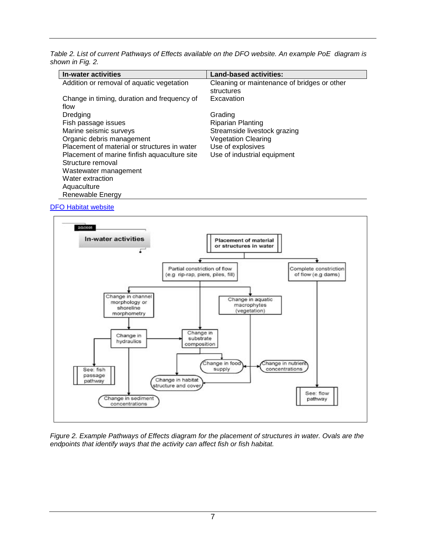*Table 2. List of current Pathways of Effects available on the DFO website. An example PoE diagram is shown in Fig. 2.*

| In-water activities                          | <b>Land-based activities:</b>               |
|----------------------------------------------|---------------------------------------------|
| Addition or removal of aquatic vegetation    | Cleaning or maintenance of bridges or other |
|                                              | structures                                  |
| Change in timing, duration and frequency of  | Excavation                                  |
| flow                                         |                                             |
| Dredging                                     | Grading                                     |
| Fish passage issues                          | <b>Riparian Planting</b>                    |
| Marine seismic surveys                       | Streamside livestock grazing                |
| Organic debris management                    | <b>Vegetation Clearing</b>                  |
| Placement of material or structures in water | Use of explosives                           |
| Placement of marine finfish aquaculture site | Use of industrial equipment                 |
| Structure removal                            |                                             |
| Wastewater management                        |                                             |
| Water extraction                             |                                             |
| Aquaculture                                  |                                             |
| Renewable Energy                             |                                             |

#### [DFO Habitat website](http://www.dfo-mpo.gc.ca/science/enviro/habitat-eng.htm)



*Figure 2. Example Pathways of Effects diagram for the placement of structures in water. Ovals are the endpoints that identify ways that the activity can affect fish or fish habitat.*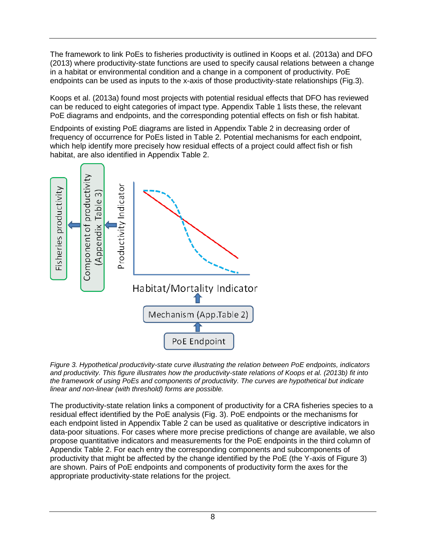The framework to link PoEs to fisheries productivity is outlined in Koops et al. (2013a) and DFO (2013) where productivity-state functions are used to specify causal relations between a change in a habitat or environmental condition and a change in a component of productivity. PoE endpoints can be used as inputs to the x-axis of those productivity-state relationships (Fig.3).

Koops et al. (2013a) found most projects with potential residual effects that DFO has reviewed can be reduced to eight categories of impact type. Appendix Table 1 lists these, the relevant PoE diagrams and endpoints, and the corresponding potential effects on fish or fish habitat.

Endpoints of existing PoE diagrams are listed in Appendix Table 2 in decreasing order of frequency of occurrence for PoEs listed in Table 2. Potential mechanisms for each endpoint, which help identify more precisely how residual effects of a project could affect fish or fish habitat, are also identified in Appendix Table 2.



*Figure 3. Hypothetical productivity-state curve illustrating the relation between PoE endpoints, indicators and productivity. This figure illustrates how the productivity-state relations of Koops et al. (2013b) fit into the framework of using PoEs and components of productivity. The curves are hypothetical but indicate linear and non-linear (with threshold) forms are possible.*

The productivity-state relation links a component of productivity for a CRA fisheries species to a residual effect identified by the PoE analysis (Fig. 3). PoE endpoints or the mechanisms for each endpoint listed in Appendix Table 2 can be used as qualitative or descriptive indicators in data-poor situations. For cases where more precise predictions of change are available, we also propose quantitative indicators and measurements for the PoE endpoints in the third column of Appendix Table 2. For each entry the corresponding components and subcomponents of productivity that might be affected by the change identified by the PoE (the Y-axis of Figure 3) are shown. Pairs of PoE endpoints and components of productivity form the axes for the appropriate productivity-state relations for the project.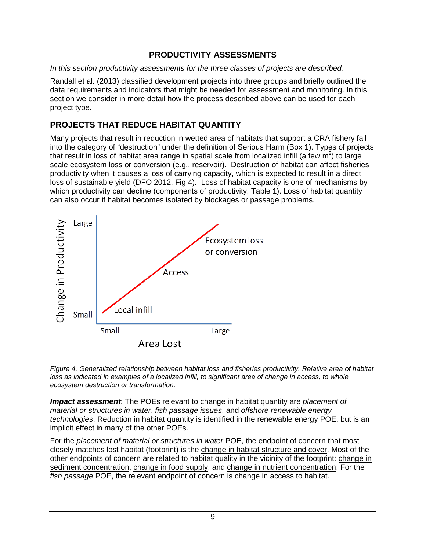# **PRODUCTIVITY ASSESSMENTS**

<span id="page-13-0"></span>*In this section productivity assessments for the three classes of projects are described.*

Randall et al. (2013) classified development projects into three groups and briefly outlined the data requirements and indicators that might be needed for assessment and monitoring. In this section we consider in more detail how the process described above can be used for each project type.

# <span id="page-13-1"></span>**PROJECTS THAT REDUCE HABITAT QUANTITY**

Many projects that result in reduction in wetted area of habitats that support a CRA fishery fall into the category of "destruction" under the definition of Serious Harm (Box 1). Types of projects that result in loss of habitat area range in spatial scale from localized infill (a few m<sup>2</sup>) to large scale ecosystem loss or conversion (e.g., reservoir). Destruction of habitat can affect fisheries productivity when it causes a loss of carrying capacity, which is expected to result in a direct loss of sustainable yield (DFO 2012, Fig 4). Loss of habitat capacity is one of mechanisms by which productivity can decline (components of productivity, Table 1). Loss of habitat quantity can also occur if habitat becomes isolated by blockages or passage problems.



*Figure 4. Generalized relationship between habitat loss and fisheries productivity. Relative area of habitat loss as indicated in examples of a localized infill, to significant area of change in access, to whole ecosystem destruction or transformation.* 

*Impact assessment*: The POEs relevant to change in habitat quantity are *placement of material or structures in water*, *fish passage issues*, and *offshore renewable energy technologies*. Reduction in habitat quantity is identified in the renewable energy POE, but is an implicit effect in many of the other POEs.

For the *placement of material or structures in water* POE, the endpoint of concern that most closely matches lost habitat (footprint) is the change in habitat structure and cover. Most of the other endpoints of concern are related to habitat quality in the vicinity of the footprint: change in sediment concentration, change in food supply, and change in nutrient concentration. For the *fish passage* POE, the relevant endpoint of concern is change in access to habitat.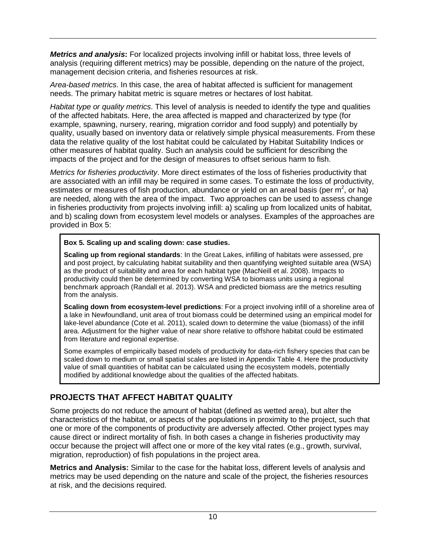*Metrics and analysis***:** For localized projects involving infill or habitat loss, three levels of analysis (requiring different metrics) may be possible, depending on the nature of the project, management decision criteria, and fisheries resources at risk.

*Area-based metrics*. In this case, the area of habitat affected is sufficient for management needs. The primary habitat metric is square metres or hectares of lost habitat.

*Habitat type or quality metrics*. This level of analysis is needed to identify the type and qualities of the affected habitats. Here, the area affected is mapped and characterized by type (for example, spawning, nursery, rearing, migration corridor and food supply) and potentially by quality, usually based on inventory data or relatively simple physical measurements. From these data the relative quality of the lost habitat could be calculated by Habitat Suitability Indices or other measures of habitat quality. Such an analysis could be sufficient for describing the impacts of the project and for the design of measures to offset serious harm to fish.

*Metrics for fisheries productivity*. More direct estimates of the loss of fisheries productivity that are associated with an infill may be required in some cases. To estimate the loss of productivity, estimates or measures of fish production, abundance or yield on an areal basis (per m<sup>2</sup>, or ha) are needed, along with the area of the impact. Two approaches can be used to assess change in fisheries productivity from projects involving infill: a) scaling up from localized units of habitat, and b) scaling down from ecosystem level models or analyses. Examples of the approaches are provided in Box 5:

### **Box 5. Scaling up and scaling down: case studies.**

**Scaling up from regional standards**: In the Great Lakes, infilling of habitats were assessed, pre and post project, by calculating habitat suitability and then quantifying weighted suitable area (WSA) as the product of suitability and area for each habitat type (MacNeill et al. 2008). Impacts to productivity could then be determined by converting WSA to biomass units using a regional benchmark approach (Randall et al. 2013). WSA and predicted biomass are the metrics resulting from the analysis.

**Scaling down from ecosystem-level predictions**: For a project involving infill of a shoreline area of a lake in Newfoundland, unit area of trout biomass could be determined using an empirical model for lake-level abundance (Cote et al. 2011), scaled down to determine the value (biomass) of the infill area. Adjustment for the higher value of near shore relative to offshore habitat could be estimated from literature and regional expertise.

Some examples of empirically based models of productivity for data-rich fishery species that can be scaled down to medium or small spatial scales are listed in Appendix Table 4. Here the productivity value of small quantities of habitat can be calculated using the ecosystem models, potentially modified by additional knowledge about the qualities of the affected habitats.

# <span id="page-14-0"></span>**PROJECTS THAT AFFECT HABITAT QUALITY**

Some projects do not reduce the amount of habitat (defined as wetted area), but alter the characteristics of the habitat, or aspects of the populations in proximity to the project, such that one or more of the components of productivity are adversely affected. Other project types may cause direct or indirect mortality of fish. In both cases a change in fisheries productivity may occur because the project will affect one or more of the key vital rates (e.g., growth, survival, migration, reproduction) of fish populations in the project area.

**Metrics and Analysis:** Similar to the case for the habitat loss, different levels of analysis and metrics may be used depending on the nature and scale of the project, the fisheries resources at risk, and the decisions required.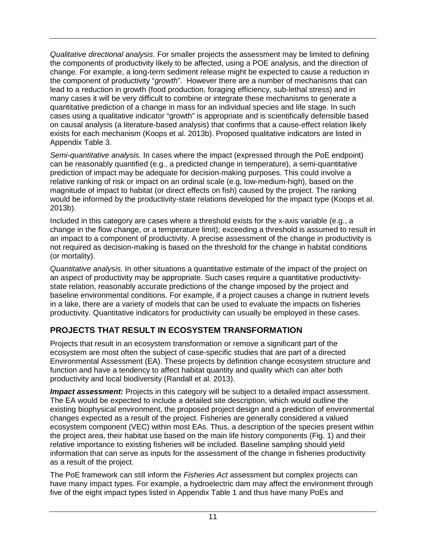*Qualitative directional analysis*. For smaller projects the assessment may be limited to defining the components of productivity likely to be affected, using a POE analysis, and the direction of change. For example, a long-term sediment release might be expected to cause a reduction in the component of productivity "*growth*". However there are a number of mechanisms that can lead to a reduction in growth (food production, foraging efficiency, sub-lethal stress) and in many cases it will be very difficult to combine or integrate these mechanisms to generate a quantitative prediction of a change in mass for an individual species and life stage. In such cases using a qualitative indicator "growth" is appropriate and is scientifically defensible based on causal analysis (a literature-based analysis) that confirms that a cause-effect relation likely exists for each mechanism (Koops et al. 2013b). Proposed qualitative indicators are listed in Appendix Table 3.

*Semi-quantitative analysis.* In cases where the impact (expressed through the PoE endpoint) can be reasonably quantified (e.g., a predicted change in temperature), a semi-quantitative prediction of impact may be adequate for decision-making purposes. This could involve a relative ranking of risk or impact on an ordinal scale (e.g, low-medium-high), based on the magnitude of impact to habitat (or direct effects on fish) caused by the project. The ranking would be informed by the productivity-state relations developed for the impact type (Koops et al. 2013b).

Included in this category are cases where a threshold exists for the x-axis variable (e.g., a change in the flow change, or a temperature limit); exceeding a threshold is assumed to result in an impact to a component of productivity. A precise assessment of the change in productivity is not required as decision-making is based on the threshold for the change in habitat conditions (or mortality).

*Quantitative analysis.* In other situations a quantitative estimate of the impact of the project on an aspect of productivity may be appropriate. Such cases require a quantitative productivitystate relation, reasonably accurate predictions of the change imposed by the project and baseline environmental conditions. For example, if a project causes a change in nutrient levels in a lake, there are a variety of models that can be used to evaluate the impacts on fisheries productivity. Quantitative indicators for productivity can usually be employed in these cases.

# <span id="page-15-0"></span>**PROJECTS THAT RESULT IN ECOSYSTEM TRANSFORMATION**

Projects that result in an ecosystem transformation or remove a significant part of the ecosystem are most often the subject of case-specific studies that are part of a directed Environmental Assessment (EA). These projects by definition change ecosystem structure and function and have a tendency to affect habitat quantity and quality which can alter both productivity and local biodiversity (Randall et al. 2013).

*Impact assessment:* Projects in this category will be subject to a detailed impact assessment. The EA would be expected to include a detailed site description, which would outline the existing biophysical environment, the proposed project design and a prediction of environmental changes expected as a result of the project. Fisheries are generally considered a valued ecosystem component (VEC) within most EAs. Thus, a description of the species present within the project area, their habitat use based on the main life history components (Fig. 1) and their relative importance to existing fisheries will be included. Baseline sampling should yield information that can serve as inputs for the assessment of the change in fisheries productivity as a result of the project.

The PoE framework can still inform the *Fisheries Act* assessment but complex projects can have many impact types. For example, a hydroelectric dam may affect the environment through five of the eight impact types listed in Appendix Table 1 and thus have many PoEs and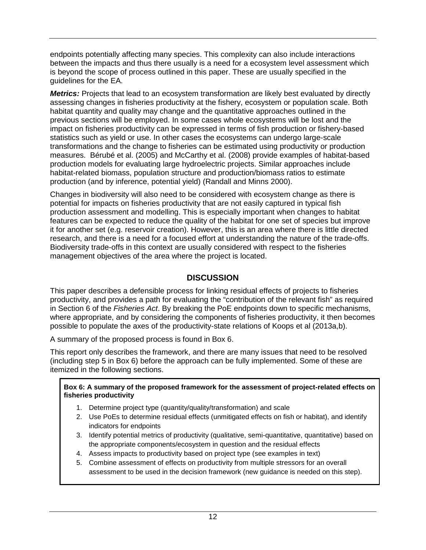endpoints potentially affecting many species. This complexity can also include interactions between the impacts and thus there usually is a need for a ecosystem level assessment which is beyond the scope of process outlined in this paper. These are usually specified in the guidelines for the EA.

*Metrics:* Projects that lead to an ecosystem transformation are likely best evaluated by directly assessing changes in fisheries productivity at the fishery, ecosystem or population scale. Both habitat quantity and quality may change and the quantitative approaches outlined in the previous sections will be employed. In some cases whole ecosystems will be lost and the impact on fisheries productivity can be expressed in terms of fish production or fishery-based statistics such as yield or use. In other cases the ecosystems can undergo large-scale transformations and the change to fisheries can be estimated using productivity or production measures. Bérubé et al. (2005) and McCarthy et al. (2008) provide examples of habitat-based production models for evaluating large hydroelectric projects. Similar approaches include habitat-related biomass, population structure and production/biomass ratios to estimate production (and by inference, potential yield) (Randall and Minns 2000).

Changes in biodiversity will also need to be considered with ecosystem change as there is potential for impacts on fisheries productivity that are not easily captured in typical fish production assessment and modelling. This is especially important when changes to habitat features can be expected to reduce the quality of the habitat for one set of species but improve it for another set (e.g. reservoir creation). However, this is an area where there is little directed research, and there is a need for a focused effort at understanding the nature of the trade-offs. Biodiversity trade-offs in this context are usually considered with respect to the fisheries management objectives of the area where the project is located.

# **DISCUSSION**

<span id="page-16-0"></span>This paper describes a defensible process for linking residual effects of projects to fisheries productivity, and provides a path for evaluating the "contribution of the relevant fish" as required in Section 6 of the *Fisheries Act*. By breaking the PoE endpoints down to specific mechanisms, where appropriate, and by considering the components of fisheries productivity, it then becomes possible to populate the axes of the productivity-state relations of Koops et al (2013a,b).

A summary of the proposed process is found in Box 6.

This report only describes the framework, and there are many issues that need to be resolved (including step 5 in Box 6) before the approach can be fully implemented. Some of these are itemized in the following sections.

#### **Box 6: A summary of the proposed framework for the assessment of project-related effects on fisheries productivity**

- 1. Determine project type (quantity/quality/transformation) and scale
- 2. Use PoEs to determine residual effects (unmitigated effects on fish or habitat), and identify indicators for endpoints
- 3. Identify potential metrics of productivity (qualitative, semi-quantitative, quantitative) based on the appropriate components/ecosystem in question and the residual effects
- 4. Assess impacts to productivity based on project type (see examples in text)
- 5. Combine assessment of effects on productivity from multiple stressors for an overall assessment to be used in the decision framework (new guidance is needed on this step).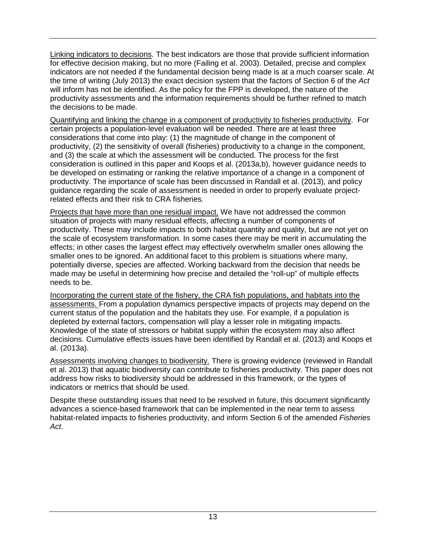Linking indicators to decisions. The best indicators are those that provide sufficient information for effective decision making, but no more (Failing et al. 2003). Detailed, precise and complex indicators are not needed if the fundamental decision being made is at a much coarser scale. At the time of writing (July 2013) the exact decision system that the factors of Section 6 of the *Act* will inform has not be identified. As the policy for the FPP is developed, the nature of the productivity assessments and the information requirements should be further refined to match the decisions to be made.

Quantifying and linking the change in a component of productivity to fisheries productivity. For certain projects a population-level evaluation will be needed. There are at least three considerations that come into play: (1) the magnitude of change in the component of productivity, (2) the sensitivity of overall (fisheries) productivity to a change in the component, and (3) the scale at which the assessment will be conducted. The process for the first consideration is outlined in this paper and Koops et al. (2013a,b), however guidance needs to be developed on estimating or ranking the relative importance of a change in a component of productivity. The importance of scale has been discussed in Randall et al. (2013), and policy guidance regarding the scale of assessment is needed in order to properly evaluate projectrelated effects and their risk to CRA fisheries.

Projects that have more than one residual impact. We have not addressed the common situation of projects with many residual effects, affecting a number of components of productivity. These may include impacts to both habitat quantity and quality, but are not yet on the scale of ecosystem transformation. In some cases there may be merit in accumulating the effects; in other cases the largest effect may effectively overwhelm smaller ones allowing the smaller ones to be ignored. An additional facet to this problem is situations where many, potentially diverse, species are affected. Working backward from the decision that needs be made may be useful in determining how precise and detailed the "roll-up" of multiple effects needs to be.

Incorporating the current state of the fishery, the CRA fish populations, and habitats into the assessments. From a population dynamics perspective impacts of projects may depend on the current status of the population and the habitats they use. For example, if a population is depleted by external factors, compensation will play a lesser role in mitigating impacts. Knowledge of the state of stressors or habitat supply within the ecosystem may also affect decisions. Cumulative effects issues have been identified by Randall et al. (2013) and Koops et al. (2013a).

Assessments involving changes to biodiversity. There is growing evidence (reviewed in Randall et al. 2013) that aquatic biodiversity can contribute to fisheries productivity. This paper does not address how risks to biodiversity should be addressed in this framework, or the types of indicators or metrics that should be used.

<span id="page-17-0"></span>Despite these outstanding issues that need to be resolved in future, this document significantly advances a science-based framework that can be implemented in the near term to assess habitat-related impacts to fisheries productivity, and inform Section 6 of the amended *Fisheries Act*.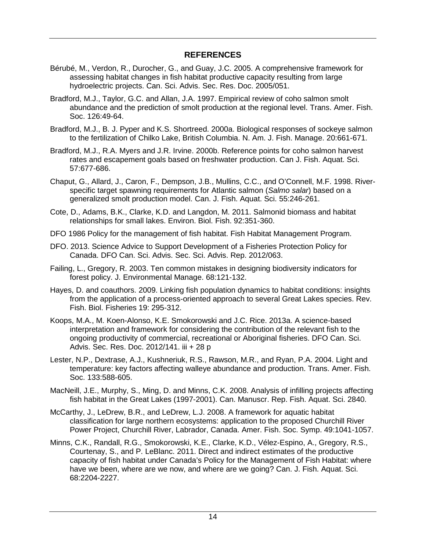## **REFERENCES**

- Bérubé, M., Verdon, R., Durocher, G., and Guay, J.C. 2005. A comprehensive framework for assessing habitat changes in fish habitat productive capacity resulting from large hydroelectric projects. Can. Sci. Advis. Sec. Res. Doc. 2005/051.
- Bradford, M.J., Taylor, G.C. and Allan, J.A. 1997. Empirical review of coho salmon smolt abundance and the prediction of smolt production at the regional level. Trans. Amer. Fish. Soc. 126:49-64.
- Bradford, M.J., B. J. Pyper and K.S. Shortreed. 2000a. Biological responses of sockeye salmon to the fertilization of Chilko Lake, British Columbia. N. Am. J. Fish. Manage. 20:661-671.
- Bradford, M.J., R.A. Myers and J.R. Irvine. 2000b. Reference points for coho salmon harvest rates and escapement goals based on freshwater production. Can J. Fish. Aquat. Sci. 57:677-686.
- Chaput, G., Allard, J., Caron, F., Dempson, J.B., Mullins, C.C., and O'Connell, M.F. 1998. Riverspecific target spawning requirements for Atlantic salmon (*Salmo salar*) based on a generalized smolt production model. Can. J. Fish. Aquat. Sci. 55:246-261.
- Cote, D., Adams, B.K., Clarke, K.D. and Langdon, M. 2011. Salmonid biomass and habitat relationships for small lakes. Environ. Biol. Fish. 92:351-360.
- DFO 1986 Policy for the management of fish habitat. Fish Habitat Management Program.
- DFO. 2013. Science Advice to Support Development of a Fisheries Protection Policy for Canada. DFO Can. Sci. Advis. Sec. Sci. Advis. Rep. 2012/063.
- Failing, L., Gregory, R. 2003. Ten common mistakes in designing biodiversity indicators for forest policy. J. Environmental Manage. 68:121-132.
- Hayes, D. and coauthors. 2009. Linking fish population dynamics to habitat conditions: insights from the application of a process-oriented approach to several Great Lakes species. Rev. Fish. Biol. Fisheries 19: 295-312.
- Koops, M.A., M. Koen-Alonso, K.E. Smokorowski and J.C. Rice. 2013a. A science-based interpretation and framework for considering the contribution of the relevant fish to the ongoing productivity of commercial, recreational or Aboriginal fisheries. DFO Can. Sci. Advis. Sec. Res. Doc. 2012/141. iii + 28 p
- Lester, N.P., Dextrase, A.J., Kushneriuk, R.S., Rawson, M.R., and Ryan, P.A. 2004. Light and temperature: key factors affecting walleye abundance and production. Trans. Amer. Fish. Soc. 133:588-605.
- MacNeill, J.E., Murphy, S., Ming, D. and Minns, C.K. 2008. Analysis of infilling projects affecting fish habitat in the Great Lakes (1997-2001). Can. Manuscr. Rep. Fish. Aquat. Sci. 2840.
- McCarthy, J., LeDrew, B.R., and LeDrew, L.J. 2008. A framework for aquatic habitat classification for large northern ecosystems: application to the proposed Churchill River Power Project, Churchill River, Labrador, Canada. Amer. Fish. Soc. Symp. 49:1041-1057.
- Minns, C.K., Randall, R.G., Smokorowski, K.E., Clarke, K.D., Vélez-Espino, A., Gregory, R.S., Courtenay, S., and P. LeBlanc. 2011. Direct and indirect estimates of the productive capacity of fish habitat under Canada's Policy for the Management of Fish Habitat: where have we been, where are we now, and where are we going? Can. J. Fish. Aquat. Sci. 68:2204-2227.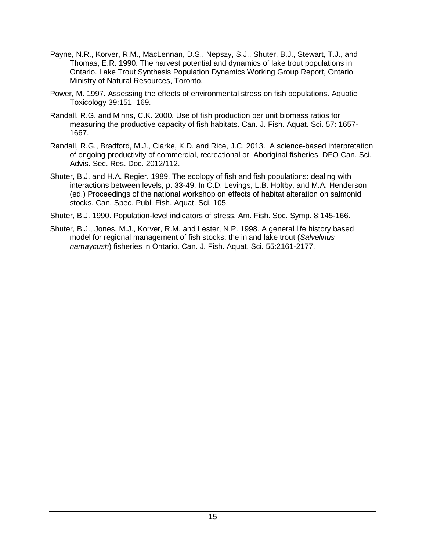- Payne, N.R., Korver, R.M., MacLennan, D.S., Nepszy, S.J., Shuter, B.J., Stewart, T.J., and Thomas, E.R. 1990. The harvest potential and dynamics of lake trout populations in Ontario. Lake Trout Synthesis Population Dynamics Working Group Report, Ontario Ministry of Natural Resources, Toronto.
- Power, M. 1997. Assessing the effects of environmental stress on fish populations. Aquatic Toxicology 39:151–169.
- Randall, R.G. and Minns, C.K. 2000. Use of fish production per unit biomass ratios for measuring the productive capacity of fish habitats. Can. J. Fish. Aquat. Sci. 57: 1657- 1667.
- Randall, R.G., Bradford, M.J., Clarke, K.D. and Rice, J.C. 2013. A science-based interpretation of ongoing productivity of commercial, recreational or Aboriginal fisheries. DFO Can. Sci. Advis. Sec. Res. Doc. 2012/112.
- Shuter, B.J. and H.A. Regier. 1989. The ecology of fish and fish populations: dealing with interactions between levels, p. 33-49. In C.D. Levings, L.B. Holtby, and M.A. Henderson (ed.) Proceedings of the national workshop on effects of habitat alteration on salmonid stocks. Can. Spec. Publ. Fish. Aquat. Sci. 105.
- Shuter, B.J. 1990. Population-level indicators of stress. Am. Fish. Soc. Symp. 8:145-166.
- Shuter, B.J., Jones, M.J., Korver, R.M. and Lester, N.P. 1998. A general life history based model for regional management of fish stocks: the inland lake trout (*Salvelinus namaycush*) fisheries in Ontario. Can. J. Fish. Aquat. Sci. 55:2161-2177.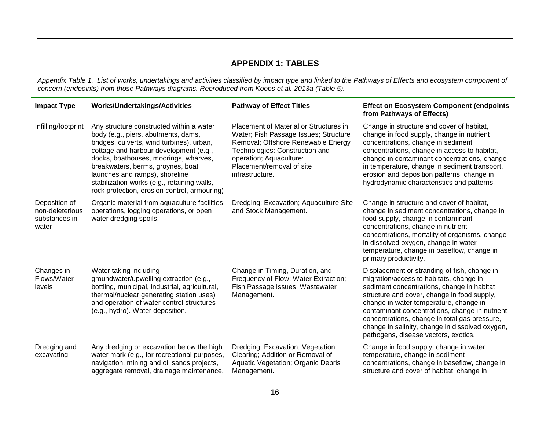## **APPENDIX 1: TABLES**

*Appendix Table 1. List of works, undertakings and activities classified by impact type and linked to the Pathways of Effects and ecosystem component of concern (endpoints) from those Pathways diagrams. Reproduced from Koops et al. 2013a (Table 5).* 

<span id="page-20-0"></span>

| <b>Impact Type</b>                                         | <b>Works/Undertakings/Activities</b>                                                                                                                                                                                                                                                                                                                                                  | <b>Pathway of Effect Titles</b>                                                                                                                                                                                                    | <b>Effect on Ecosystem Component (endpoints</b><br>from Pathways of Effects)                                                                                                                                                                                                                                                                                                                                                 |
|------------------------------------------------------------|---------------------------------------------------------------------------------------------------------------------------------------------------------------------------------------------------------------------------------------------------------------------------------------------------------------------------------------------------------------------------------------|------------------------------------------------------------------------------------------------------------------------------------------------------------------------------------------------------------------------------------|------------------------------------------------------------------------------------------------------------------------------------------------------------------------------------------------------------------------------------------------------------------------------------------------------------------------------------------------------------------------------------------------------------------------------|
| Infilling/footprint                                        | Any structure constructed within a water<br>body (e.g., piers, abutments, dams,<br>bridges, culverts, wind turbines), urban,<br>cottage and harbour development (e.g.,<br>docks, boathouses, moorings, wharves,<br>breakwaters, berms, groynes, boat<br>launches and ramps), shoreline<br>stabilization works (e.g., retaining walls,<br>rock protection, erosion control, armouring) | Placement of Material or Structures in<br>Water; Fish Passage Issues; Structure<br>Removal; Offshore Renewable Energy<br>Technologies: Construction and<br>operation; Aquaculture:<br>Placement/removal of site<br>infrastructure. | Change in structure and cover of habitat,<br>change in food supply, change in nutrient<br>concentrations, change in sediment<br>concentrations, change in access to habitat,<br>change in contaminant concentrations, change<br>in temperature, change in sediment transport,<br>erosion and deposition patterns, change in<br>hydrodynamic characteristics and patterns.                                                    |
| Deposition of<br>non-deleterious<br>substances in<br>water | Organic material from aquaculture facilities<br>operations, logging operations, or open<br>water dredging spoils.                                                                                                                                                                                                                                                                     | Dredging; Excavation; Aquaculture Site<br>and Stock Management.                                                                                                                                                                    | Change in structure and cover of habitat,<br>change in sediment concentrations, change in<br>food supply, change in contaminant<br>concentrations, change in nutrient<br>concentrations, mortality of organisms, change<br>in dissolved oxygen, change in water<br>temperature, change in baseflow, change in<br>primary productivity.                                                                                       |
| Changes in<br>Flows/Water<br>levels                        | Water taking including<br>groundwater/upwelling extraction (e.g.,<br>bottling, municipal, industrial, agricultural,<br>thermal/nuclear generating station uses)<br>and operation of water control structures<br>(e.g., hydro). Water deposition.                                                                                                                                      | Change in Timing, Duration, and<br>Frequency of Flow; Water Extraction;<br>Fish Passage Issues; Wastewater<br>Management.                                                                                                          | Displacement or stranding of fish, change in<br>migration/access to habitats, change in<br>sediment concentrations, change in habitat<br>structure and cover, change in food supply,<br>change in water temperature, change in<br>contaminant concentrations, change in nutrient<br>concentrations, change in total gas pressure,<br>change in salinity, change in dissolved oxygen,<br>pathogens, disease vectors, exotics. |
| Dredging and<br>excavating                                 | Any dredging or excavation below the high<br>water mark (e.g., for recreational purposes,<br>navigation, mining and oil sands projects,<br>aggregate removal, drainage maintenance,                                                                                                                                                                                                   | Dredging; Excavation; Vegetation<br>Clearing; Addition or Removal of<br><b>Aquatic Vegetation; Organic Debris</b><br>Management.                                                                                                   | Change in food supply, change in water<br>temperature, change in sediment<br>concentrations, change in baseflow, change in<br>structure and cover of habitat, change in                                                                                                                                                                                                                                                      |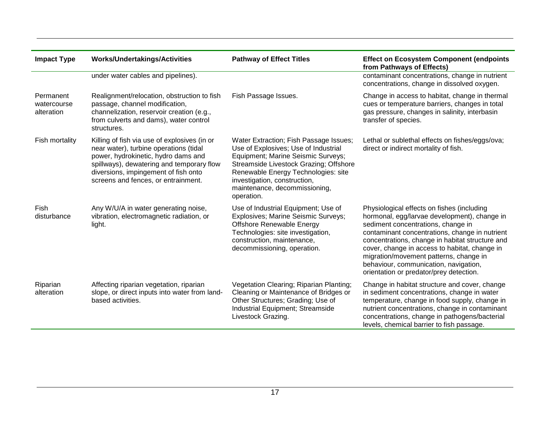| <b>Impact Type</b>                     | <b>Works/Undertakings/Activities</b>                                                                                                                                                                                                                      | <b>Pathway of Effect Titles</b>                                                                                                                                                                                                                                                      | <b>Effect on Ecosystem Component (endpoints</b><br>from Pathways of Effects)                                                                                                                                                                                                                                                                                                                                         |
|----------------------------------------|-----------------------------------------------------------------------------------------------------------------------------------------------------------------------------------------------------------------------------------------------------------|--------------------------------------------------------------------------------------------------------------------------------------------------------------------------------------------------------------------------------------------------------------------------------------|----------------------------------------------------------------------------------------------------------------------------------------------------------------------------------------------------------------------------------------------------------------------------------------------------------------------------------------------------------------------------------------------------------------------|
|                                        | under water cables and pipelines).                                                                                                                                                                                                                        |                                                                                                                                                                                                                                                                                      | contaminant concentrations, change in nutrient<br>concentrations, change in dissolved oxygen.                                                                                                                                                                                                                                                                                                                        |
| Permanent<br>watercourse<br>alteration | Realignment/relocation, obstruction to fish<br>passage, channel modification,<br>channelization, reservoir creation (e.g.,<br>from culverts and dams), water control<br>structures.                                                                       | Fish Passage Issues.                                                                                                                                                                                                                                                                 | Change in access to habitat, change in thermal<br>cues or temperature barriers, changes in total<br>gas pressure, changes in salinity, interbasin<br>transfer of species.                                                                                                                                                                                                                                            |
| Fish mortality                         | Killing of fish via use of explosives (in or<br>near water), turbine operations (tidal<br>power, hydrokinetic, hydro dams and<br>spillways), dewatering and temporary flow<br>diversions, impingement of fish onto<br>screens and fences, or entrainment. | Water Extraction; Fish Passage Issues;<br>Use of Explosives; Use of Industrial<br>Equipment; Marine Seismic Surveys;<br>Streamside Livestock Grazing; Offshore<br>Renewable Energy Technologies: site<br>investigation, construction,<br>maintenance, decommissioning,<br>operation. | Lethal or sublethal effects on fishes/eggs/ova;<br>direct or indirect mortality of fish.                                                                                                                                                                                                                                                                                                                             |
| Fish<br>disturbance                    | Any W/U/A in water generating noise,<br>vibration, electromagnetic radiation, or<br>light.                                                                                                                                                                | Use of Industrial Equipment; Use of<br>Explosives; Marine Seismic Surveys;<br>Offshore Renewable Energy<br>Technologies: site investigation,<br>construction, maintenance,<br>decommissioning, operation.                                                                            | Physiological effects on fishes (including<br>hormonal, egg/larvae development), change in<br>sediment concentrations, change in<br>contaminant concentrations, change in nutrient<br>concentrations, change in habitat structure and<br>cover, change in access to habitat, change in<br>migration/movement patterns, change in<br>behaviour, communication, navigation,<br>orientation or predator/prey detection. |
| Riparian<br>alteration                 | Affecting riparian vegetation, riparian<br>slope, or direct inputs into water from land-<br>based activities.                                                                                                                                             | Vegetation Clearing; Riparian Planting;<br>Cleaning or Maintenance of Bridges or<br>Other Structures; Grading; Use of<br>Industrial Equipment; Streamside<br>Livestock Grazing.                                                                                                      | Change in habitat structure and cover, change<br>in sediment concentrations, change in water<br>temperature, change in food supply, change in<br>nutrient concentrations, change in contaminant<br>concentrations, change in pathogens/bacterial<br>levels, chemical barrier to fish passage.                                                                                                                        |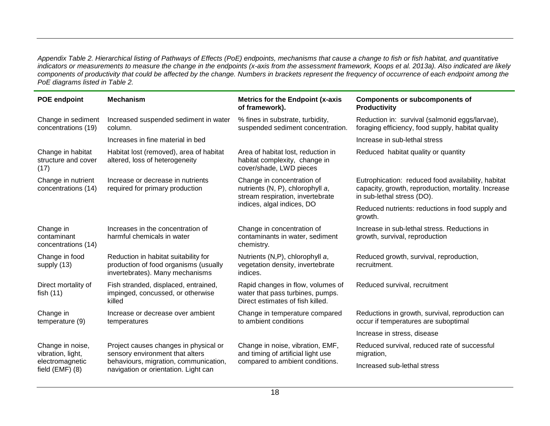*Appendix Table 2. Hierarchical listing of Pathways of Effects (PoE) endpoints, mechanisms that cause a change to fish or fish habitat, and quantitative indicators or measurements to measure the change in the endpoints (x-axis from the assessment framework, Koops et al. 2013a). Also indicated are likely components of productivity that could be affected by the change. Numbers in brackets represent the frequency of occurrence of each endpoint among the PoE diagrams listed in Table 2.* 

| <b>POE endpoint</b>                              | <b>Mechanism</b>                                                                                                 | <b>Metrics for the Endpoint (x-axis</b><br>of framework).                                                 | <b>Components or subcomponents of</b><br>Productivity                                                                                   |
|--------------------------------------------------|------------------------------------------------------------------------------------------------------------------|-----------------------------------------------------------------------------------------------------------|-----------------------------------------------------------------------------------------------------------------------------------------|
| Change in sediment<br>concentrations (19)        | Increased suspended sediment in water<br>column.                                                                 | % fines in substrate, turbidity,<br>suspended sediment concentration.                                     | Reduction in: survival (salmonid eggs/larvae),<br>foraging efficiency, food supply, habitat quality                                     |
|                                                  | Increases in fine material in bed                                                                                |                                                                                                           | Increase in sub-lethal stress                                                                                                           |
| Change in habitat<br>structure and cover<br>(17) | Habitat lost (removed), area of habitat<br>altered, loss of heterogeneity                                        | Area of habitat lost, reduction in<br>habitat complexity, change in<br>cover/shade, LWD pieces            | Reduced habitat quality or quantity                                                                                                     |
| Change in nutrient<br>concentrations (14)        | Increase or decrease in nutrients<br>required for primary production                                             | Change in concentration of<br>nutrients (N, P), chlorophyll a,<br>stream respiration, invertebrate        | Eutrophication: reduced food availability, habitat<br>capacity, growth, reproduction, mortality. Increase<br>in sub-lethal stress (DO). |
|                                                  |                                                                                                                  | indices, algal indices, DO                                                                                | Reduced nutrients: reductions in food supply and<br>growth.                                                                             |
| Change in<br>contaminant<br>concentrations (14)  | Increases in the concentration of<br>harmful chemicals in water                                                  | Change in concentration of<br>contaminants in water, sediment<br>chemistry.                               | Increase in sub-lethal stress. Reductions in<br>growth, survival, reproduction                                                          |
| Change in food<br>supply (13)                    | Reduction in habitat suitability for<br>production of food organisms (usually<br>invertebrates). Many mechanisms | Nutrients (N,P), chlorophyll a,<br>vegetation density, invertebrate<br>indices.                           | Reduced growth, survival, reproduction,<br>recruitment.                                                                                 |
| Direct mortality of<br>fish $(11)$               | Fish stranded, displaced, entrained,<br>impinged, concussed, or otherwise<br>killed                              | Rapid changes in flow, volumes of<br>water that pass turbines, pumps.<br>Direct estimates of fish killed. | Reduced survival, recruitment                                                                                                           |
| Change in<br>temperature (9)                     | Increase or decrease over ambient<br>temperatures                                                                | Change in temperature compared<br>to ambient conditions                                                   | Reductions in growth, survival, reproduction can<br>occur if temperatures are suboptimal                                                |
|                                                  |                                                                                                                  |                                                                                                           | Increase in stress, disease                                                                                                             |
| Change in noise,<br>vibration, light,            | Project causes changes in physical or<br>sensory environment that alters                                         | Change in noise, vibration, EMF,<br>and timing of artificial light use                                    | Reduced survival, reduced rate of successful<br>migration,                                                                              |
| electromagnetic<br>field $(EMF)$ $(8)$           | behaviours, migration, communication,<br>navigation or orientation. Light can                                    | compared to ambient conditions.                                                                           | Increased sub-lethal stress                                                                                                             |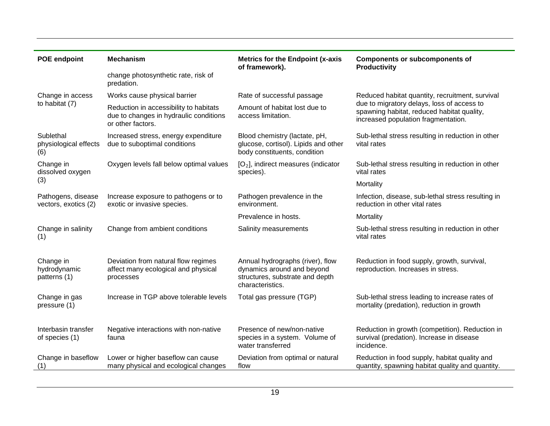| <b>POE endpoint</b>                        | <b>Mechanism</b>                                                                                      | <b>Metrics for the Endpoint (x-axis</b><br>of framework).                                                             | <b>Components or subcomponents of</b><br><b>Productivity</b>                                                                    |
|--------------------------------------------|-------------------------------------------------------------------------------------------------------|-----------------------------------------------------------------------------------------------------------------------|---------------------------------------------------------------------------------------------------------------------------------|
|                                            | change photosynthetic rate, risk of<br>predation.                                                     |                                                                                                                       |                                                                                                                                 |
| Change in access                           | Works cause physical barrier                                                                          | Rate of successful passage                                                                                            | Reduced habitat quantity, recruitment, survival                                                                                 |
| to habitat (7)                             | Reduction in accessibility to habitats<br>due to changes in hydraulic conditions<br>or other factors. | Amount of habitat lost due to<br>access limitation.                                                                   | due to migratory delays, loss of access to<br>spawning habitat, reduced habitat quality,<br>increased population fragmentation. |
| Sublethal<br>physiological effects<br>(6)  | Increased stress, energy expenditure<br>due to suboptimal conditions                                  | Blood chemistry (lactate, pH,<br>glucose, cortisol). Lipids and other<br>body constituents, condition                 | Sub-lethal stress resulting in reduction in other<br>vital rates                                                                |
| Change in<br>dissolved oxygen              | Oxygen levels fall below optimal values                                                               | $[O_2]$ , indirect measures (indicator<br>species).                                                                   | Sub-lethal stress resulting in reduction in other<br>vital rates                                                                |
| (3)                                        |                                                                                                       |                                                                                                                       | Mortality                                                                                                                       |
| Pathogens, disease<br>vectors, exotics (2) | Increase exposure to pathogens or to<br>exotic or invasive species.                                   | Pathogen prevalence in the<br>environment.                                                                            | Infection, disease, sub-lethal stress resulting in<br>reduction in other vital rates                                            |
|                                            |                                                                                                       | Prevalence in hosts.                                                                                                  | Mortality                                                                                                                       |
| Change in salinity<br>(1)                  | Change from ambient conditions                                                                        | Salinity measurements                                                                                                 | Sub-lethal stress resulting in reduction in other<br>vital rates                                                                |
| Change in<br>hydrodynamic<br>patterns (1)  | Deviation from natural flow regimes<br>affect many ecological and physical<br>processes               | Annual hydrographs (river), flow<br>dynamics around and beyond<br>structures, substrate and depth<br>characteristics. | Reduction in food supply, growth, survival,<br>reproduction. Increases in stress.                                               |
| Change in gas<br>pressure (1)              | Increase in TGP above tolerable levels                                                                | Total gas pressure (TGP)                                                                                              | Sub-lethal stress leading to increase rates of<br>mortality (predation), reduction in growth                                    |
| Interbasin transfer<br>of species (1)      | Negative interactions with non-native<br>fauna                                                        | Presence of new/non-native<br>species in a system. Volume of<br>water transferred                                     | Reduction in growth (competition). Reduction in<br>survival (predation). Increase in disease<br>incidence.                      |
| Change in baseflow<br>(1)                  | Lower or higher baseflow can cause<br>many physical and ecological changes                            | Deviation from optimal or natural<br>flow                                                                             | Reduction in food supply, habitat quality and<br>quantity, spawning habitat quality and quantity.                               |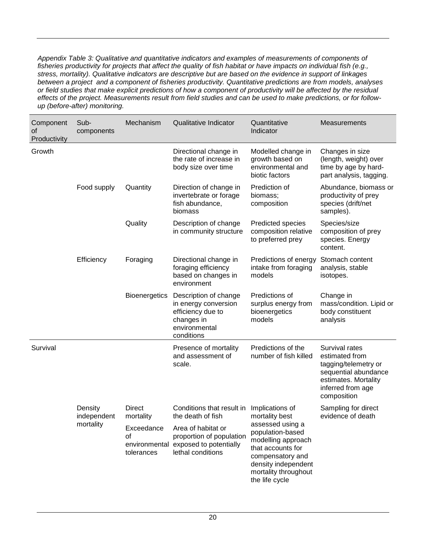*Appendix Table 3: Qualitative and quantitative indicators and examples of measurements of components of fisheries productivity for projects that affect the quality of fish habitat or have impacts on individual fish (e.g., stress, mortality). Qualitative indicators are descriptive but are based on the evidence in support of linkages between a project and a component of fisheries productivity. Quantitative predictions are from models, analyses or field studies that make explicit predictions of how a component of productivity will be affected by the residual effects of the project. Measurements result from field studies and can be used to make predictions, or for followup (before-after) monitoring.*

| Component<br>οf<br>Productivity | Sub-<br>components                  | Mechanism                                                    | Qualitative Indicator                                                                                                                                         | Quantitative<br>Indicator                                                                                                                                                                                 | <b>Measurements</b>                                                                                                                          |
|---------------------------------|-------------------------------------|--------------------------------------------------------------|---------------------------------------------------------------------------------------------------------------------------------------------------------------|-----------------------------------------------------------------------------------------------------------------------------------------------------------------------------------------------------------|----------------------------------------------------------------------------------------------------------------------------------------------|
| Growth                          |                                     |                                                              | Directional change in<br>the rate of increase in<br>body size over time                                                                                       | Modelled change in<br>growth based on<br>environmental and<br>biotic factors                                                                                                                              | Changes in size<br>(length, weight) over<br>time by age by hard-<br>part analysis, tagging.                                                  |
|                                 | Food supply                         | Quantity                                                     | Direction of change in<br>invertebrate or forage<br>fish abundance,<br>biomass                                                                                | Prediction of<br>biomass;<br>composition                                                                                                                                                                  | Abundance, biomass or<br>productivity of prey<br>species (drift/net<br>samples).                                                             |
|                                 |                                     | Quality                                                      | Description of change<br>in community structure                                                                                                               | Predicted species<br>composition relative<br>to preferred prey                                                                                                                                            | Species/size<br>composition of prey<br>species. Energy<br>content.                                                                           |
|                                 | Efficiency                          | Foraging                                                     | Directional change in<br>foraging efficiency<br>based on changes in<br>environment                                                                            | Predictions of energy<br>intake from foraging<br>models                                                                                                                                                   | Stomach content<br>analysis, stable<br>isotopes.                                                                                             |
|                                 |                                     | <b>Bioenergetics</b>                                         | Description of change<br>in energy conversion<br>efficiency due to<br>changes in<br>environmental<br>conditions                                               | Predictions of<br>surplus energy from<br>bioenergetics<br>models                                                                                                                                          | Change in<br>mass/condition. Lipid or<br>body constituent<br>analysis                                                                        |
| Survival                        |                                     |                                                              | Presence of mortality<br>and assessment of<br>scale.                                                                                                          | Predictions of the<br>number of fish killed                                                                                                                                                               | Survival rates<br>estimated from<br>tagging/telemetry or<br>sequential abundance<br>estimates. Mortality<br>inferred from age<br>composition |
|                                 | Density<br>independent<br>mortality | <b>Direct</b><br>mortality<br>Exceedance<br>οf<br>tolerances | Conditions that result in<br>the death of fish<br>Area of habitat or<br>proportion of population<br>environmental exposed to potentially<br>lethal conditions | Implications of<br>mortality best<br>assessed using a<br>population-based<br>modelling approach<br>that accounts for<br>compensatory and<br>density independent<br>mortality throughout<br>the life cycle | Sampling for direct<br>evidence of death                                                                                                     |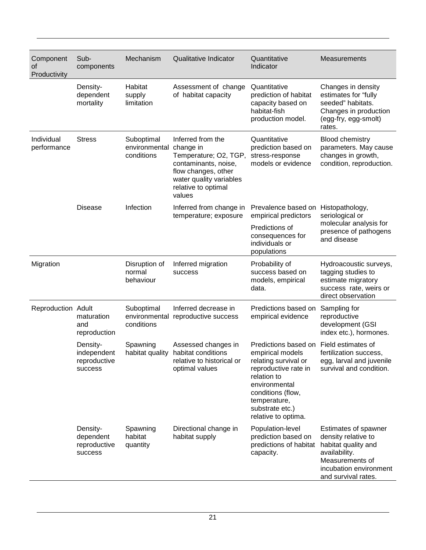| Component<br>of<br>Productivity | Sub-<br>components                                 | Mechanism                                 | <b>Qualitative Indicator</b>                                                                                                                                       | Quantitative<br>Indicator                                                                                                                                                                               | <b>Measurements</b>                                                                                                                                     |
|---------------------------------|----------------------------------------------------|-------------------------------------------|--------------------------------------------------------------------------------------------------------------------------------------------------------------------|---------------------------------------------------------------------------------------------------------------------------------------------------------------------------------------------------------|---------------------------------------------------------------------------------------------------------------------------------------------------------|
|                                 | Density-<br>dependent<br>mortality                 | Habitat<br>supply<br>limitation           | Assessment of change<br>of habitat capacity                                                                                                                        | Quantitative<br>prediction of habitat<br>capacity based on<br>habitat-fish<br>production model.                                                                                                         | Changes in density<br>estimates for "fully<br>seeded" habitats.<br>Changes in production<br>(egg-fry, egg-smolt)<br>rates.                              |
| Individual<br>performance       | <b>Stress</b>                                      | Suboptimal<br>environmental<br>conditions | Inferred from the<br>change in<br>Temperature; O2, TGP,<br>contaminants, noise,<br>flow changes, other<br>water quality variables<br>relative to optimal<br>values | Quantitative<br>prediction based on<br>stress-response<br>models or evidence                                                                                                                            | <b>Blood chemistry</b><br>parameters. May cause<br>changes in growth,<br>condition, reproduction.                                                       |
|                                 | <b>Disease</b>                                     | Infection                                 | Inferred from change in<br>temperature; exposure                                                                                                                   | Prevalence based on<br>empirical predictors                                                                                                                                                             | Histopathology,<br>seriological or                                                                                                                      |
|                                 |                                                    |                                           |                                                                                                                                                                    | Predictions of<br>consequences for<br>individuals or<br>populations                                                                                                                                     | molecular analysis for<br>presence of pathogens<br>and disease                                                                                          |
| Migration                       |                                                    | Disruption of<br>normal<br>behaviour      | Inferred migration<br>success                                                                                                                                      | Probability of<br>success based on<br>models, empirical<br>data.                                                                                                                                        | Hydroacoustic surveys,<br>tagging studies to<br>estimate migratory<br>success rate, weirs or<br>direct observation                                      |
| Reproduction Adult              | maturation<br>and<br>reproduction                  | Suboptimal<br>environmental<br>conditions | Inferred decrease in<br>reproductive success                                                                                                                       | Predictions based on<br>empirical evidence                                                                                                                                                              | Sampling for<br>reproductive<br>development (GSI<br>index etc.), hormones.                                                                              |
|                                 | Density-<br>independent<br>reproductive<br>success | Spawning<br>habitat quality               | Assessed changes in<br>habitat conditions<br>relative to historical or<br>optimal values                                                                           | Predictions based on<br>empirical models<br>relating survival or<br>reproductive rate in<br>relation to<br>environmental<br>conditions (flow,<br>temperature,<br>substrate etc.)<br>relative to optima. | Field estimates of<br>fertilization success,<br>egg, larval and juvenile<br>survival and condition.                                                     |
|                                 | Density-<br>dependent<br>reproductive<br>success   | Spawning<br>habitat<br>quantity           | Directional change in<br>habitat supply                                                                                                                            | Population-level<br>prediction based on<br>predictions of habitat<br>capacity.                                                                                                                          | Estimates of spawner<br>density relative to<br>habitat quality and<br>availability.<br>Measurements of<br>incubation environment<br>and survival rates. |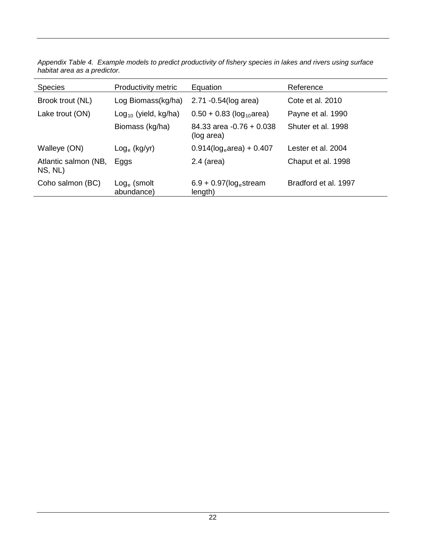| <b>Species</b>                  | Productivity metric                 | Equation                                         | Reference            |
|---------------------------------|-------------------------------------|--------------------------------------------------|----------------------|
| Brook trout (NL)                | Log Biomass(kg/ha)                  | 2.71 -0.54(log area)                             | Cote et al. 2010     |
| Lake trout (ON)                 | $Log_{10}$ (yield, kg/ha)           | $0.50 + 0.83$ (log <sub>10</sub> area)           | Payne et al. 1990    |
|                                 | Biomass (kg/ha)                     | $84.33$ area $-0.76 + 0.038$<br>(log area)       | Shuter et al. 1998   |
| Walleye (ON)                    | $\textsf{Log}_{\textsf{e}}$ (kg/yr) | $0.914$ (log <sub>e</sub> area) + 0.407          | Lester et al. 2004   |
| Atlantic salmon (NB,<br>NS, NL) | Eggs                                | $2.4$ (area)                                     | Chaput et al. 1998   |
| Coho salmon (BC)                | $Log_e$ (smolt<br>abundance)        | $6.9 + 0.97$ (log <sub>e</sub> stream<br>length) | Bradford et al. 1997 |

*Appendix Table 4. Example models to predict productivity of fishery species in lakes and rivers using surface habitat area as a predictor.*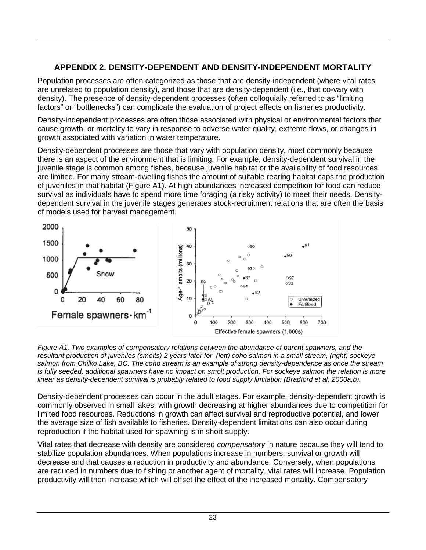# <span id="page-27-0"></span>**APPENDIX 2. DENSITY-DEPENDENT AND DENSITY-INDEPENDENT MORTALITY**

Population processes are often categorized as those that are density-independent (where vital rates are unrelated to population density), and those that are density-dependent (i.e., that co-vary with density). The presence of density-dependent processes (often colloquially referred to as "limiting factors" or "bottlenecks") can complicate the evaluation of project effects on fisheries productivity.

Density-independent processes are often those associated with physical or environmental factors that cause growth, or mortality to vary in response to adverse water quality, extreme flows, or changes in growth associated with variation in water temperature.

Density-dependent processes are those that vary with population density, most commonly because there is an aspect of the environment that is limiting. For example, density-dependent survival in the juvenile stage is common among fishes, because juvenile habitat or the availability of food resources are limited. For many stream-dwelling fishes the amount of suitable rearing habitat caps the production of juveniles in that habitat (Figure A1). At high abundances increased competition for food can reduce survival as individuals have to spend more time foraging (a risky activity) to meet their needs. Densitydependent survival in the juvenile stages generates stock-recruitment relations that are often the basis of models used for harvest management.



*Figure A1. Two examples of compensatory relations between the abundance of parent spawners, and the resultant production of juveniles (smolts) 2 years later for (left) coho salmon in a small stream, (right) sockeye salmon from Chilko Lake, BC. The coho stream is an example of strong density-dependence as once the stream is fully seeded, additional spawners have no impact on smolt production. For sockeye salmon the relation is more linear as density-dependent survival is probably related to food supply limitation (Bradford et al. 2000a,b).*

Density-dependent processes can occur in the adult stages. For example, density-dependent growth is commonly observed in small lakes, with growth decreasing at higher abundances due to competition for limited food resources. Reductions in growth can affect survival and reproductive potential, and lower the average size of fish available to fisheries. Density-dependent limitations can also occur during reproduction if the habitat used for spawning is in short supply.

Vital rates that decrease with density are considered *compensatory* in nature because they will tend to stabilize population abundances. When populations increase in numbers, survival or growth will decrease and that causes a reduction in productivity and abundance. Conversely, when populations are reduced in numbers due to fishing or another agent of mortality, vital rates will increase. Population productivity will then increase which will offset the effect of the increased mortality. Compensatory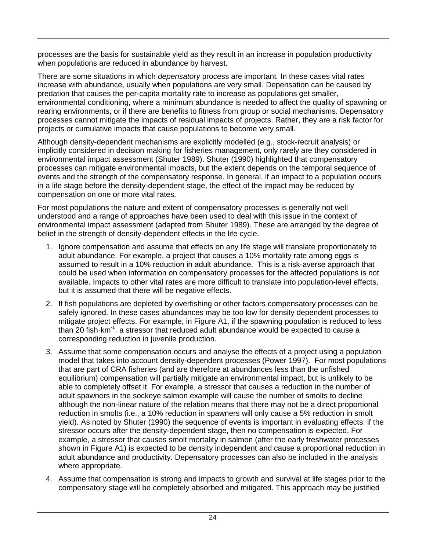processes are the basis for sustainable yield as they result in an increase in population productivity when populations are reduced in abundance by harvest.

There are some situations in which *depensatory* process are important*.* In these cases vital rates increase with abundance, usually when populations are very small. Depensation can be caused by predation that causes the per-capita mortality rate to increase as populations get smaller, environmental conditioning, where a minimum abundance is needed to affect the quality of spawning or rearing environments, or if there are benefits to fitness from group or social mechanisms. Depensatory processes cannot mitigate the impacts of residual impacts of projects. Rather, they are a risk factor for projects or cumulative impacts that cause populations to become very small.

Although density-dependent mechanisms are explicitly modelled (e.g., stock-recruit analysis) or implicitly considered in decision making for fisheries management, only rarely are they considered in environmental impact assessment (Shuter 1989). Shuter (1990) highlighted that compensatory processes can mitigate environmental impacts, but the extent depends on the temporal sequence of events and the strength of the compensatory response. In general, if an impact to a population occurs in a life stage before the density-dependent stage, the effect of the impact may be reduced by compensation on one or more vital rates.

For most populations the nature and extent of compensatory processes is generally not well understood and a range of approaches have been used to deal with this issue in the context of environmental impact assessment (adapted from Shuter 1989). These are arranged by the degree of belief in the strength of density-dependent effects in the life cycle.

- 1. Ignore compensation and assume that effects on any life stage will translate proportionately to adult abundance. For example, a project that causes a 10% mortality rate among eggs is assumed to result in a 10% reduction in adult abundance. This is a risk-averse approach that could be used when information on compensatory processes for the affected populations is not available. Impacts to other vital rates are more difficult to translate into population-level effects, but it is assumed that there will be negative effects.
- 2. If fish populations are depleted by overfishing or other factors compensatory processes can be safely ignored. In these cases abundances may be too low for density dependent processes to mitigate project effects. For example, in Figure A1, if the spawning population is reduced to less than 20 fish km<sup>-1</sup>, a stressor that reduced adult abundance would be expected to cause a corresponding reduction in juvenile production.
- 3. Assume that some compensation occurs and analyse the effects of a project using a population model that takes into account density-dependent processes (Power 1997). For most populations that are part of CRA fisheries (and are therefore at abundances less than the unfished equilibrium) compensation will partially mitigate an environmental impact, but is unlikely to be able to completely offset it. For example, a stressor that causes a reduction in the number of adult spawners in the sockeye salmon example will cause the number of smolts to decline although the non-linear nature of the relation means that there may not be a direct proportional reduction in smolts (i.e., a 10% reduction in spawners will only cause a 5% reduction in smolt yield). As noted by Shuter (1990) the sequence of events is important in evaluating effects: if the stressor occurs after the density-dependent stage, then no compensation is expected. For example, a stressor that causes smolt mortality in salmon (after the early freshwater processes shown in Figure A1) is expected to be density independent and cause a proportional reduction in adult abundance and productivity. Depensatory processes can also be included in the analysis where appropriate.
- 4. Assume that compensation is strong and impacts to growth and survival at life stages prior to the compensatory stage will be completely absorbed and mitigated. This approach may be justified